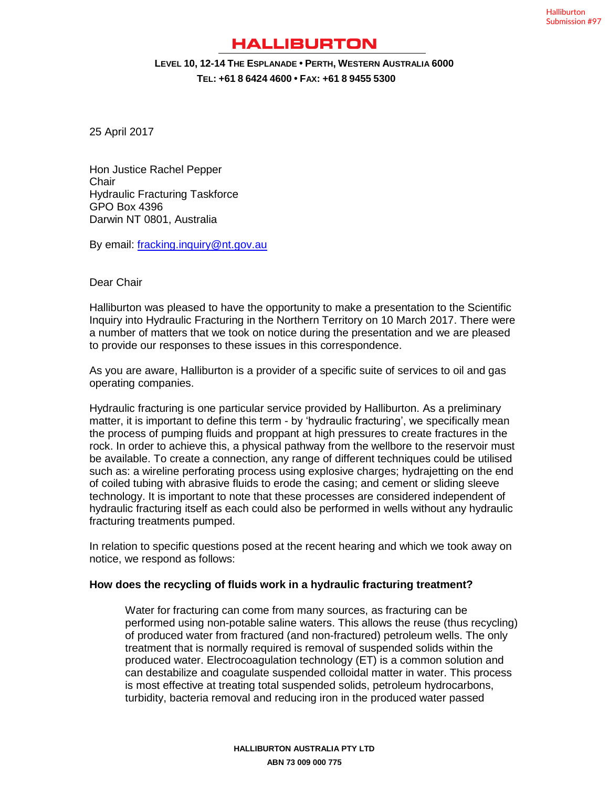#### **LEVEL 10, 12-14 THE ESPLANADE • PERTH, WESTERN AUSTRALIA 6000 TEL: +61 8 6424 4600 • FAX: +61 8 9455 5300**

25 April 2017

Hon Justice Rachel Pepper **Chair** Hydraulic Fracturing Taskforce GPO Box 4396 Darwin NT 0801, Australia

By email: fracking.inquiry@nt.gov.au

#### Dear Chair

Halliburton was pleased to have the opportunity to make a presentation to the Scientific Inquiry into Hydraulic Fracturing in the Northern Territory on 10 March 2017. There were a number of matters that we took on notice during the presentation and we are pleased to provide our responses to these issues in this correspondence.

As you are aware, Halliburton is a provider of a specific suite of services to oil and gas operating companies.

Hydraulic fracturing is one particular service provided by Halliburton. As a preliminary matter, it is important to define this term - by 'hydraulic fracturing', we specifically mean the process of pumping fluids and proppant at high pressures to create fractures in the rock. In order to achieve this, a physical pathway from the wellbore to the reservoir must be available. To create a connection, any range of different techniques could be utilised such as: a wireline perforating process using explosive charges; hydrajetting on the end of coiled tubing with abrasive fluids to erode the casing; and cement or sliding sleeve technology. It is important to note that these processes are considered independent of hydraulic fracturing itself as each could also be performed in wells without any hydraulic fracturing treatments pumped.

In relation to specific questions posed at the recent hearing and which we took away on notice, we respond as follows:

#### **How does the recycling of fluids work in a hydraulic fracturing treatment?**

Water for fracturing can come from many sources, as fracturing can be performed using non-potable saline waters. This allows the reuse (thus recycling) of produced water from fractured (and non-fractured) petroleum wells. The only treatment that is normally required is removal of suspended solids within the produced water. Electrocoagulation technology (ET) is a common solution and can destabilize and coagulate suspended colloidal matter in water. This process is most effective at treating total suspended solids, petroleum hydrocarbons, turbidity, bacteria removal and reducing iron in the produced water passed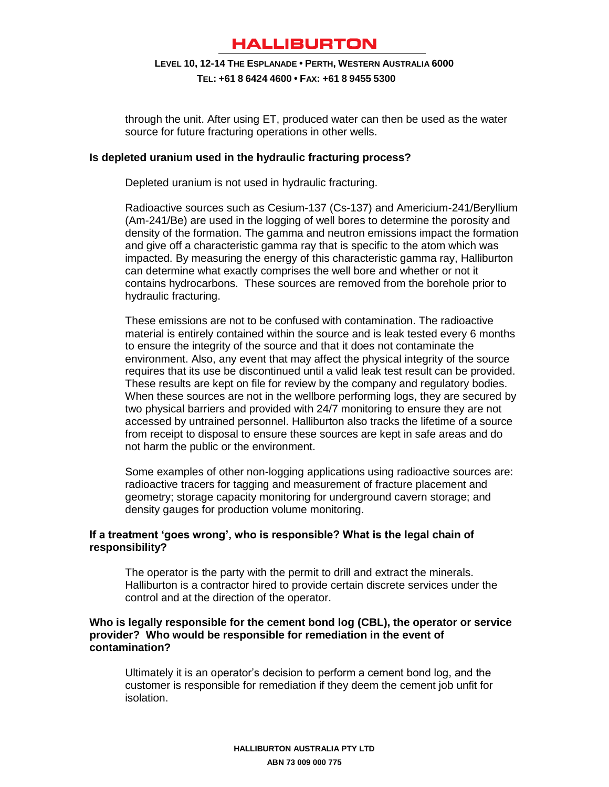### **LEVEL 10, 12-14 THE ESPLANADE • PERTH, WESTERN AUSTRALIA 6000 TEL: +61 8 6424 4600 • FAX: +61 8 9455 5300**

through the unit. After using ET, produced water can then be used as the water source for future fracturing operations in other wells.

#### **Is depleted uranium used in the hydraulic fracturing process?**

Depleted uranium is not used in hydraulic fracturing.

Radioactive sources such as Cesium-137 (Cs-137) and Americium-241/Beryllium (Am-241/Be) are used in the logging of well bores to determine the porosity and density of the formation. The gamma and neutron emissions impact the formation and give off a characteristic gamma ray that is specific to the atom which was impacted. By measuring the energy of this characteristic gamma ray, Halliburton can determine what exactly comprises the well bore and whether or not it contains hydrocarbons. These sources are removed from the borehole prior to hydraulic fracturing.

These emissions are not to be confused with contamination. The radioactive material is entirely contained within the source and is leak tested every 6 months to ensure the integrity of the source and that it does not contaminate the environment. Also, any event that may affect the physical integrity of the source requires that its use be discontinued until a valid leak test result can be provided. These results are kept on file for review by the company and regulatory bodies. When these sources are not in the wellbore performing logs, they are secured by two physical barriers and provided with 24/7 monitoring to ensure they are not accessed by untrained personnel. Halliburton also tracks the lifetime of a source from receipt to disposal to ensure these sources are kept in safe areas and do not harm the public or the environment.

Some examples of other non-logging applications using radioactive sources are: radioactive tracers for tagging and measurement of fracture placement and geometry; storage capacity monitoring for underground cavern storage; and density gauges for production volume monitoring.

#### **If a treatment 'goes wrong', who is responsible? What is the legal chain of responsibility?**

The operator is the party with the permit to drill and extract the minerals. Halliburton is a contractor hired to provide certain discrete services under the control and at the direction of the operator.

#### **Who is legally responsible for the cement bond log (CBL), the operator or service provider? Who would be responsible for remediation in the event of contamination?**

Ultimately it is an operator's decision to perform a cement bond log, and the customer is responsible for remediation if they deem the cement job unfit for isolation.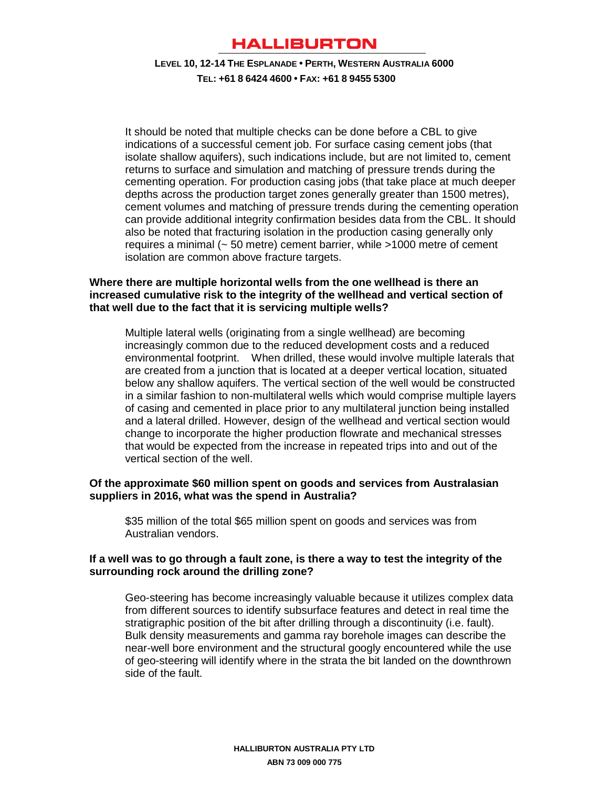**LEVEL 10, 12-14 THE ESPLANADE • PERTH, WESTERN AUSTRALIA 6000 TEL: +61 8 6424 4600 • FAX: +61 8 9455 5300**

It should be noted that multiple checks can be done before a CBL to give indications of a successful cement job. For surface casing cement jobs (that isolate shallow aquifers), such indications include, but are not limited to, cement returns to surface and simulation and matching of pressure trends during the cementing operation. For production casing jobs (that take place at much deeper depths across the production target zones generally greater than 1500 metres), cement volumes and matching of pressure trends during the cementing operation can provide additional integrity confirmation besides data from the CBL. It should also be noted that fracturing isolation in the production casing generally only requires a minimal (~ 50 metre) cement barrier, while >1000 metre of cement isolation are common above fracture targets.

#### **Where there are multiple horizontal wells from the one wellhead is there an increased cumulative risk to the integrity of the wellhead and vertical section of that well due to the fact that it is servicing multiple wells?**

Multiple lateral wells (originating from a single wellhead) are becoming increasingly common due to the reduced development costs and a reduced environmental footprint. When drilled, these would involve multiple laterals that are created from a junction that is located at a deeper vertical location, situated below any shallow aquifers. The vertical section of the well would be constructed in a similar fashion to non-multilateral wells which would comprise multiple layers of casing and cemented in place prior to any multilateral junction being installed and a lateral drilled. However, design of the wellhead and vertical section would change to incorporate the higher production flowrate and mechanical stresses that would be expected from the increase in repeated trips into and out of the vertical section of the well.

#### **Of the approximate \$60 million spent on goods and services from Australasian suppliers in 2016, what was the spend in Australia?**

\$35 million of the total \$65 million spent on goods and services was from Australian vendors.

#### **If a well was to go through a fault zone, is there a way to test the integrity of the surrounding rock around the drilling zone?**

Geo-steering has become increasingly valuable because it utilizes complex data from different sources to identify subsurface features and detect in real time the stratigraphic position of the bit after drilling through a discontinuity (i.e. fault). Bulk density measurements and gamma ray borehole images can describe the near-well bore environment and the structural googly encountered while the use of geo-steering will identify where in the strata the bit landed on the downthrown side of the fault.